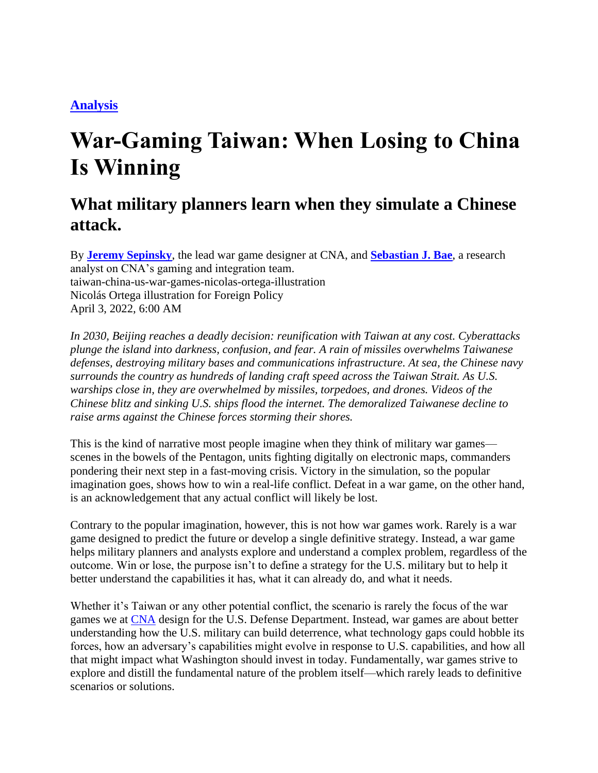## **[Analysis](https://foreignpolicy.com/channel/analysis/)**

## **War-Gaming Taiwan: When Losing to China Is Winning**

## **What military planners learn when they simulate a Chinese attack.**

By **[Jeremy Sepinsky](https://foreignpolicy.com/author/jeremy-sepinsky/)**, the lead war game designer at CNA, and **[Sebastian J. Bae](https://foreignpolicy.com/author/sebastian-j-bae/)**, a research analyst on CNA's gaming and integration team. taiwan-china-us-war-games-nicolas-ortega-illustration Nicolás Ortega illustration for Foreign Policy April 3, 2022, 6:00 AM

*In 2030, Beijing reaches a deadly decision: reunification with Taiwan at any cost. Cyberattacks plunge the island into darkness, confusion, and fear. A rain of missiles overwhelms Taiwanese defenses, destroying military bases and communications infrastructure. At sea, the Chinese navy surrounds the country as hundreds of landing craft speed across the Taiwan Strait. As U.S. warships close in, they are overwhelmed by missiles, torpedoes, and drones. Videos of the Chinese blitz and sinking U.S. ships flood the internet. The demoralized Taiwanese decline to raise arms against the Chinese forces storming their shores.*

This is the kind of narrative most people imagine when they think of military war games scenes in the bowels of the Pentagon, units fighting digitally on electronic maps, commanders pondering their next step in a fast-moving crisis. Victory in the simulation, so the popular imagination goes, shows how to win a real-life conflict. Defeat in a war game, on the other hand, is an acknowledgement that any actual conflict will likely be lost.

Contrary to the popular imagination, however, this is not how war games work. Rarely is a war game designed to predict the future or develop a single definitive strategy. Instead, a war game helps military planners and analysts explore and understand a complex problem, regardless of the outcome. Win or lose, the purpose isn't to define a strategy for the U.S. military but to help it better understand the capabilities it has, what it can already do, and what it needs.

Whether it's Taiwan or any other potential conflict, the scenario is rarely the focus of the war games we at [CNA](https://www.cna.org/) design for the U.S. Defense Department. Instead, war games are about better understanding how the U.S. military can build deterrence, what technology gaps could hobble its forces, how an adversary's capabilities might evolve in response to U.S. capabilities, and how all that might impact what Washington should invest in today. Fundamentally, war games strive to explore and distill the fundamental nature of the problem itself—which rarely leads to definitive scenarios or solutions.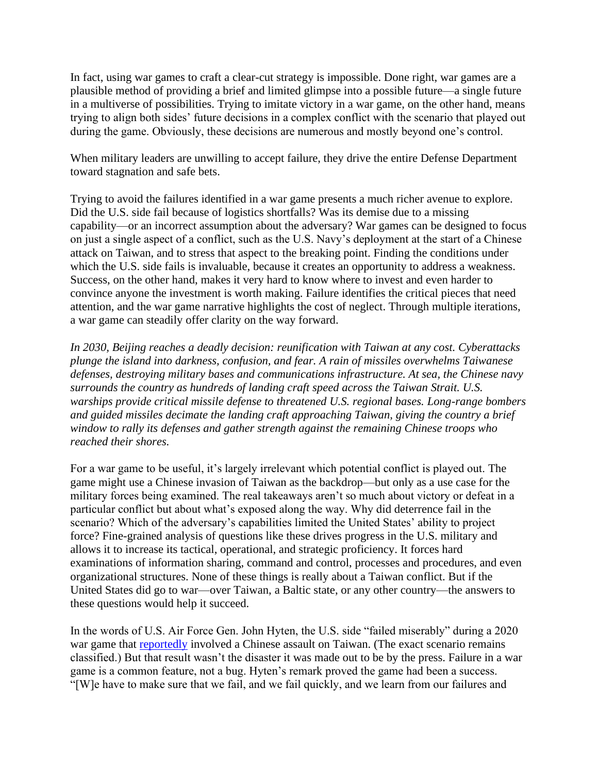In fact, using war games to craft a clear-cut strategy is impossible. Done right, war games are a plausible method of providing a brief and limited glimpse into a possible future—a single future in a multiverse of possibilities. Trying to imitate victory in a war game, on the other hand, means trying to align both sides' future decisions in a complex conflict with the scenario that played out during the game. Obviously, these decisions are numerous and mostly beyond one's control.

When military leaders are unwilling to accept failure, they drive the entire Defense Department toward stagnation and safe bets.

Trying to avoid the failures identified in a war game presents a much richer avenue to explore. Did the U.S. side fail because of logistics shortfalls? Was its demise due to a missing capability—or an incorrect assumption about the adversary? War games can be designed to focus on just a single aspect of a conflict, such as the U.S. Navy's deployment at the start of a Chinese attack on Taiwan, and to stress that aspect to the breaking point. Finding the conditions under which the U.S. side fails is invaluable, because it creates an opportunity to address a weakness. Success, on the other hand, makes it very hard to know where to invest and even harder to convince anyone the investment is worth making. Failure identifies the critical pieces that need attention, and the war game narrative highlights the cost of neglect. Through multiple iterations, a war game can steadily offer clarity on the way forward.

*In 2030, Beijing reaches a deadly decision: reunification with Taiwan at any cost. Cyberattacks plunge the island into darkness, confusion, and fear. A rain of missiles overwhelms Taiwanese defenses, destroying military bases and communications infrastructure. At sea, the Chinese navy surrounds the country as hundreds of landing craft speed across the Taiwan Strait. U.S. warships provide critical missile defense to threatened U.S. regional bases. Long-range bombers and guided missiles decimate the landing craft approaching Taiwan, giving the country a brief window to rally its defenses and gather strength against the remaining Chinese troops who reached their shores.*

For a war game to be useful, it's largely irrelevant which potential conflict is played out. The game might use a Chinese invasion of Taiwan as the backdrop—but only as a use case for the military forces being examined. The real takeaways aren't so much about victory or defeat in a particular conflict but about what's exposed along the way. Why did deterrence fail in the scenario? Which of the adversary's capabilities limited the United States' ability to project force? Fine-grained analysis of questions like these drives progress in the U.S. military and allows it to increase its tactical, operational, and strategic proficiency. It forces hard examinations of information sharing, command and control, processes and procedures, and even organizational structures. None of these things is really about a Taiwan conflict. But if the United States did go to war—over Taiwan, a Baltic state, or any other country—the answers to these questions would help it succeed.

In the words of U.S. Air Force Gen. John Hyten, the U.S. side "failed miserably" during a 2020 war game that [reportedly](https://www.defenseone.com/policy/2021/07/it-failed-miserably-after-wargaming-loss-joint-chiefs-are-overhauling-how-us-military-will-fight/184050/) involved a Chinese assault on Taiwan. (The exact scenario remains classified.) But that result wasn't the disaster it was made out to be by the press. Failure in a war game is a common feature, not a bug. Hyten's remark proved the game had been a success. "[W]e have to make sure that we fail, and we fail quickly, and we learn from our failures and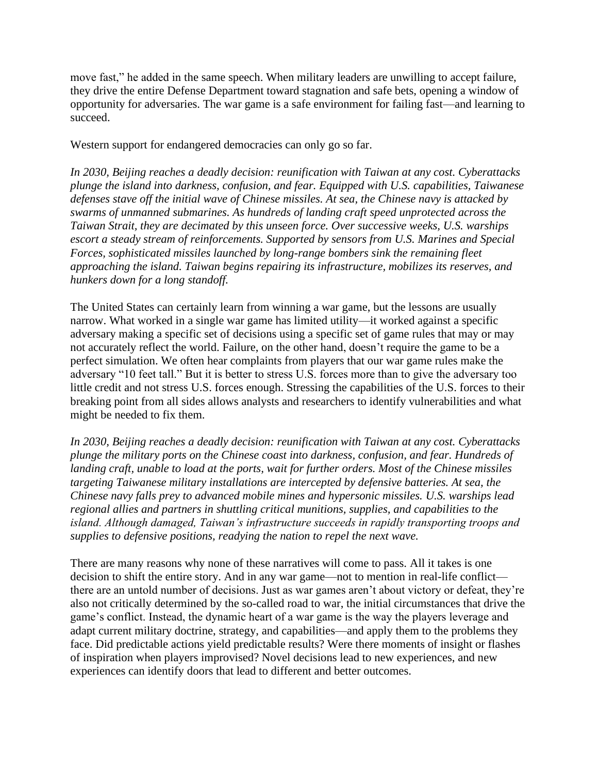move fast," he added in the same speech. When military leaders are unwilling to accept failure, they drive the entire Defense Department toward stagnation and safe bets, opening a window of opportunity for adversaries. The war game is a safe environment for failing fast—and learning to succeed[.](https://foreignpolicy.com/2022/02/28/taiwan-defense-ukraine-invasion/)

Western support for endangered democracies can only go so far.

*In 2030, Beijing reaches a deadly decision: reunification with Taiwan at any cost. Cyberattacks plunge the island into darkness, confusion, and fear. Equipped with U.S. capabilities, Taiwanese defenses stave off the initial wave of Chinese missiles. At sea, the Chinese navy is attacked by swarms of unmanned submarines. As hundreds of landing craft speed unprotected across the Taiwan Strait, they are decimated by this unseen force. Over successive weeks, U.S. warships escort a steady stream of reinforcements. Supported by sensors from U.S. Marines and Special Forces, sophisticated missiles launched by long-range bombers sink the remaining fleet approaching the island. Taiwan begins repairing its infrastructure, mobilizes its reserves, and hunkers down for a long standoff.*

The United States can certainly learn from winning a war game, but the lessons are usually narrow. What worked in a single war game has limited utility—it worked against a specific adversary making a specific set of decisions using a specific set of game rules that may or may not accurately reflect the world. Failure, on the other hand, doesn't require the game to be a perfect simulation. We often hear complaints from players that our war game rules make the adversary "10 feet tall." But it is better to stress U.S. forces more than to give the adversary too little credit and not stress U.S. forces enough. Stressing the capabilities of the U.S. forces to their breaking point from all sides allows analysts and researchers to identify vulnerabilities and what might be needed to fix them.

*In 2030, Beijing reaches a deadly decision: reunification with Taiwan at any cost. Cyberattacks plunge the military ports on the Chinese coast into darkness, confusion, and fear. Hundreds of landing craft, unable to load at the ports, wait for further orders. Most of the Chinese missiles targeting Taiwanese military installations are intercepted by defensive batteries. At sea, the Chinese navy falls prey to advanced mobile mines and hypersonic missiles. U.S. warships lead regional allies and partners in shuttling critical munitions, supplies, and capabilities to the island. Although damaged, Taiwan's infrastructure succeeds in rapidly transporting troops and supplies to defensive positions, readying the nation to repel the next wave.* 

There are many reasons why none of these narratives will come to pass. All it takes is one decision to shift the entire story. And in any war game—not to mention in real-life conflict there are an untold number of decisions. Just as war games aren't about victory or defeat, they're also not critically determined by the so-called road to war, the initial circumstances that drive the game's conflict. Instead, the dynamic heart of a war game is the way the players leverage and adapt current military doctrine, strategy, and capabilities—and apply them to the problems they face. Did predictable actions yield predictable results? Were there moments of insight or flashes of inspiration when players improvised? Novel decisions lead to new experiences, and new experiences can identify doors that lead to different and better outcomes.